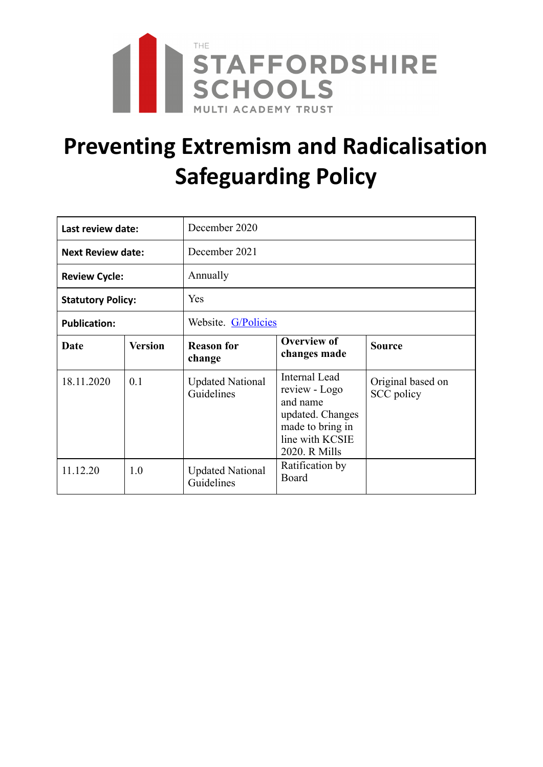

# **Preventing Extremism and Radicalisation Safeguarding Policy**

| Last review date:        |                | December 2020                         |                                                                                                                        |                                 |  |
|--------------------------|----------------|---------------------------------------|------------------------------------------------------------------------------------------------------------------------|---------------------------------|--|
| <b>Next Review date:</b> |                | December 2021                         |                                                                                                                        |                                 |  |
| <b>Review Cycle:</b>     |                | Annually                              |                                                                                                                        |                                 |  |
| <b>Statutory Policy:</b> |                | Yes                                   |                                                                                                                        |                                 |  |
| <b>Publication:</b>      |                | Website. G/Policies                   |                                                                                                                        |                                 |  |
| Date                     | <b>Version</b> | <b>Reason for</b><br>change           | <b>Overview of</b><br>changes made                                                                                     | <b>Source</b>                   |  |
| 18.11.2020               | 0.1            | <b>Updated National</b><br>Guidelines | Internal Lead<br>review - Logo<br>and name<br>updated. Changes<br>made to bring in<br>line with KCSIE<br>2020. R Mills | Original based on<br>SCC policy |  |
| 11.12.20                 | 1.0            | <b>Updated National</b><br>Guidelines | Ratification by<br>Board                                                                                               |                                 |  |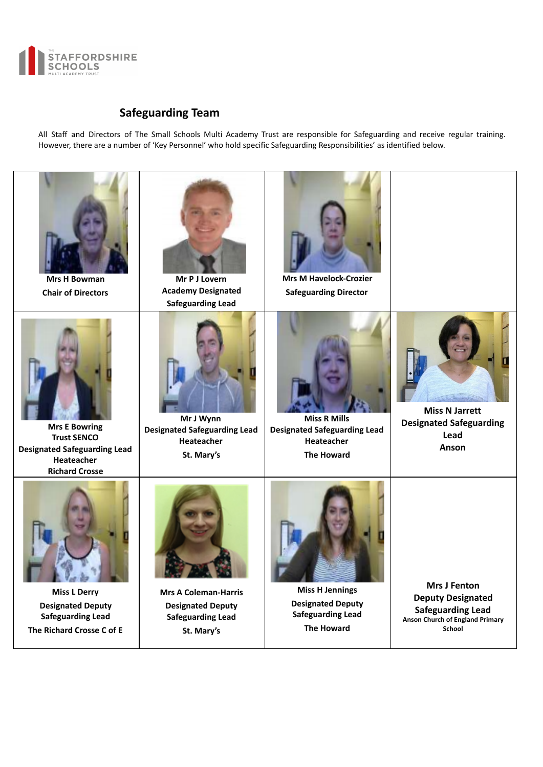

# **Safeguarding Team**

All Staff and Directors of The Small Schools Multi Academy Trust are responsible for Safeguarding and receive regular training. However, there are a number of 'Key Personnel' who hold specific Safeguarding Responsibilities' as identified below.

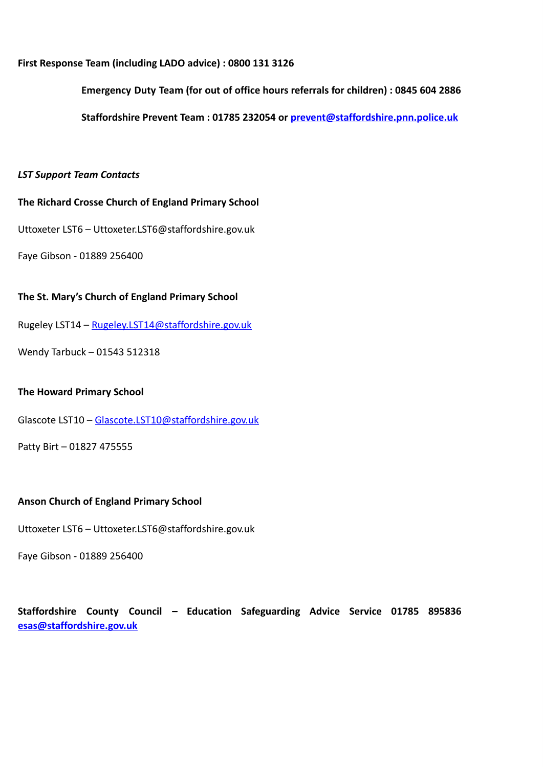# **First Response Team (including LADO advice) : 0800 131 3126**

**Emergency Duty Team (for out of office hours referrals for children) : 0845 604 2886** 

**Staffordshire Prevent Team : 01785 232054 or prevent@staffordshire.pnn.police.uk** 

# *LST Support Team Contacts*

# **The Richard Crosse Church of England Primary School**

Uttoxeter LST6 – Uttoxeter.LST6@staffordshire.gov.uk

Faye Gibson - 01889 256400

# **The St. Mary's Church of England Primary School**

Rugeley LST14 – Rugeley.LST14@staffordshire.gov.uk

Wendy Tarbuck – 01543 512318

# **The Howard Primary School**

Glascote LST10 – Glascote.LST10@staffordshire.gov.uk

Patty Birt – 01827 475555

# **Anson Church of England Primary School**

Uttoxeter LST6 – Uttoxeter.LST6@staffordshire.gov.uk

Faye Gibson - 01889 256400

# **Staffordshire County Council – Education Safeguarding Advice Service 01785 895836 esas@staffordshire.gov.uk**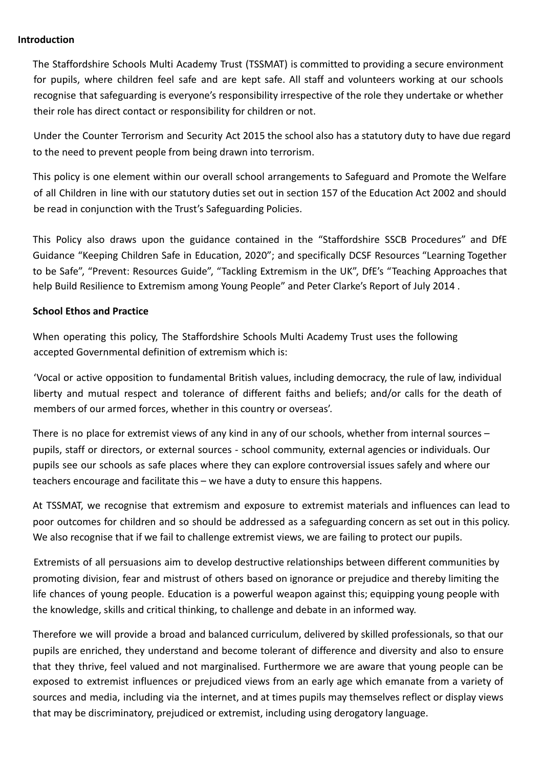#### **Introduction**

The Staffordshire Schools Multi Academy Trust (TSSMAT) is committed to providing a secure environment for pupils, where children feel safe and are kept safe. All staff and volunteers working at our schools recognise that safeguarding is everyone's responsibility irrespective of the role they undertake or whether their role has direct contact or responsibility for children or not.

Under the Counter Terrorism and Security Act 2015 the school also has a statutory duty to have due regard to the need to prevent people from being drawn into terrorism.

This policy is one element within our overall school arrangements to Safeguard and Promote the Welfare of all Children in line with our statutory duties set out in section 157 of the Education Act 2002 and should be read in conjunction with the Trust's Safeguarding Policies.

This Policy also draws upon the guidance contained in the "Staffordshire SSCB Procedures" and DfE Guidance "Keeping Children Safe in Education, 2020"; and specifically DCSF Resources "Learning Together to be Safe", "Prevent: Resources Guide", "Tackling Extremism in the UK", DfE's "Teaching Approaches that help Build Resilience to Extremism among Young People" and Peter Clarke's Report of July 2014 .

# **School Ethos and Practice**

When operating this policy, The Staffordshire Schools Multi Academy Trust uses the following accepted Governmental definition of extremism which is:

'Vocal or active opposition to fundamental British values, including democracy, the rule of law, individual liberty and mutual respect and tolerance of different faiths and beliefs; and/or calls for the death of members of our armed forces, whether in this country or overseas'.

There is no place for extremist views of any kind in any of our schools, whether from internal sources – pupils, staff or directors, or external sources - school community, external agencies or individuals. Our pupils see our schools as safe places where they can explore controversial issues safely and where our teachers encourage and facilitate this – we have a duty to ensure this happens.

At TSSMAT, we recognise that extremism and exposure to extremist materials and influences can lead to poor outcomes for children and so should be addressed as a safeguarding concern as set out in this policy. We also recognise that if we fail to challenge extremist views, we are failing to protect our pupils.

Extremists of all persuasions aim to develop destructive relationships between different communities by promoting division, fear and mistrust of others based on ignorance or prejudice and thereby limiting the life chances of young people. Education is a powerful weapon against this; equipping young people with the knowledge, skills and critical thinking, to challenge and debate in an informed way.

Therefore we will provide a broad and balanced curriculum, delivered by skilled professionals, so that our pupils are enriched, they understand and become tolerant of difference and diversity and also to ensure that they thrive, feel valued and not marginalised. Furthermore we are aware that young people can be exposed to extremist influences or prejudiced views from an early age which emanate from a variety of sources and media, including via the internet, and at times pupils may themselves reflect or display views that may be discriminatory, prejudiced or extremist, including using derogatory language.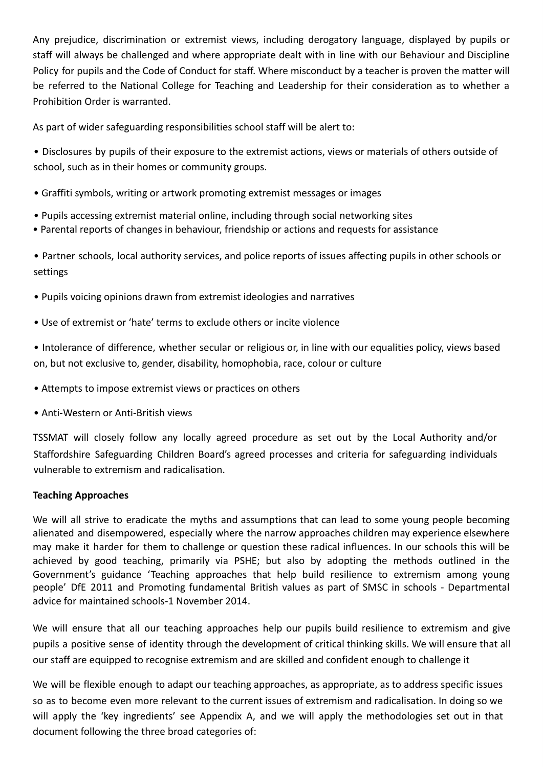Any prejudice, discrimination or extremist views, including derogatory language, displayed by pupils or staff will always be challenged and where appropriate dealt with in line with our Behaviour and Discipline Policy for pupils and the Code of Conduct for staff. Where misconduct by a teacher is proven the matter will be referred to the National College for Teaching and Leadership for their consideration as to whether a Prohibition Order is warranted.

As part of wider safeguarding responsibilities school staff will be alert to:

• Disclosures by pupils of their exposure to the extremist actions, views or materials of others outside of school, such as in their homes or community groups.

- Graffiti symbols, writing or artwork promoting extremist messages or images
- Pupils accessing extremist material online, including through social networking sites
- Parental reports of changes in behaviour, friendship or actions and requests for assistance

• Partner schools, local authority services, and police reports of issues affecting pupils in other schools or settings

- Pupils voicing opinions drawn from extremist ideologies and narratives
- Use of extremist or 'hate' terms to exclude others or incite violence

• Intolerance of difference, whether secular or religious or, in line with our equalities policy, views based on, but not exclusive to, gender, disability, homophobia, race, colour or culture

- Attempts to impose extremist views or practices on others
- Anti-Western or Anti-British views

TSSMAT will closely follow any locally agreed procedure as set out by the Local Authority and/or Staffordshire Safeguarding Children Board's agreed processes and criteria for safeguarding individuals vulnerable to extremism and radicalisation.

# **Teaching Approaches**

We will all strive to eradicate the myths and assumptions that can lead to some young people becoming alienated and disempowered, especially where the narrow approaches children may experience elsewhere may make it harder for them to challenge or question these radical influences. In our schools this will be achieved by good teaching, primarily via PSHE; but also by adopting the methods outlined in the Government's guidance 'Teaching approaches that help build resilience to extremism among young people' DfE 2011 and Promoting fundamental British values as part of SMSC in schools - Departmental advice for maintained schools-1 November 2014.

We will ensure that all our teaching approaches help our pupils build resilience to extremism and give pupils a positive sense of identity through the development of critical thinking skills. We will ensure that all our staff are equipped to recognise extremism and are skilled and confident enough to challenge it

We will be flexible enough to adapt our teaching approaches, as appropriate, as to address specific issues so as to become even more relevant to the current issues of extremism and radicalisation. In doing so we will apply the 'key ingredients' see Appendix A, and we will apply the methodologies set out in that document following the three broad categories of: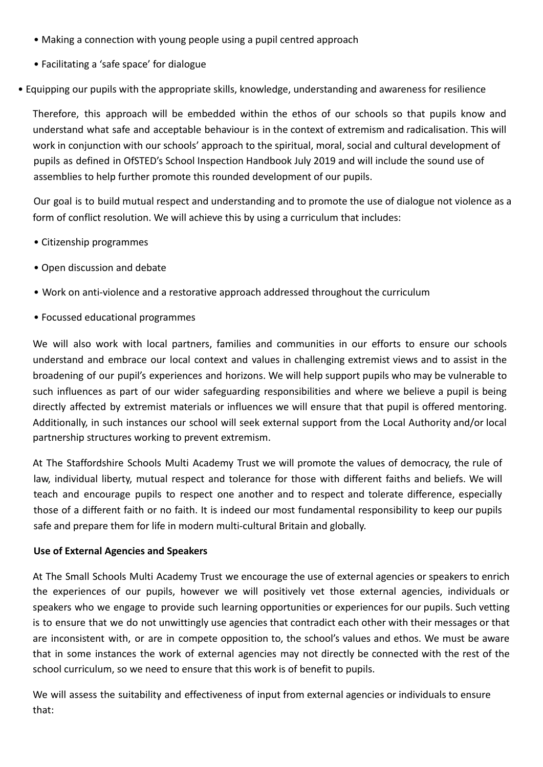- Making a connection with young people using a pupil centred approach
- Facilitating a 'safe space' for dialogue

• Equipping our pupils with the appropriate skills, knowledge, understanding and awareness for resilience

Therefore, this approach will be embedded within the ethos of our schools so that pupils know and understand what safe and acceptable behaviour is in the context of extremism and radicalisation. This will work in conjunction with our schools' approach to the spiritual, moral, social and cultural development of pupils as defined in OfSTED's School Inspection Handbook July 2019 and will include the sound use of assemblies to help further promote this rounded development of our pupils.

Our goal is to build mutual respect and understanding and to promote the use of dialogue not violence as a form of conflict resolution. We will achieve this by using a curriculum that includes:

- Citizenship programmes
- Open discussion and debate
- Work on anti-violence and a restorative approach addressed throughout the curriculum
- Focussed educational programmes

We will also work with local partners, families and communities in our efforts to ensure our schools understand and embrace our local context and values in challenging extremist views and to assist in the broadening of our pupil's experiences and horizons. We will help support pupils who may be vulnerable to such influences as part of our wider safeguarding responsibilities and where we believe a pupil is being directly affected by extremist materials or influences we will ensure that that pupil is offered mentoring. Additionally, in such instances our school will seek external support from the Local Authority and/or local partnership structures working to prevent extremism.

At The Staffordshire Schools Multi Academy Trust we will promote the values of democracy, the rule of law, individual liberty, mutual respect and tolerance for those with different faiths and beliefs. We will teach and encourage pupils to respect one another and to respect and tolerate difference, especially those of a different faith or no faith. It is indeed our most fundamental responsibility to keep our pupils safe and prepare them for life in modern multi-cultural Britain and globally.

# **Use of External Agencies and Speakers**

At The Small Schools Multi Academy Trust we encourage the use of external agencies or speakers to enrich the experiences of our pupils, however we will positively vet those external agencies, individuals or speakers who we engage to provide such learning opportunities or experiences for our pupils. Such vetting is to ensure that we do not unwittingly use agencies that contradict each other with their messages or that are inconsistent with, or are in compete opposition to, the school's values and ethos. We must be aware that in some instances the work of external agencies may not directly be connected with the rest of the school curriculum, so we need to ensure that this work is of benefit to pupils.

We will assess the suitability and effectiveness of input from external agencies or individuals to ensure that: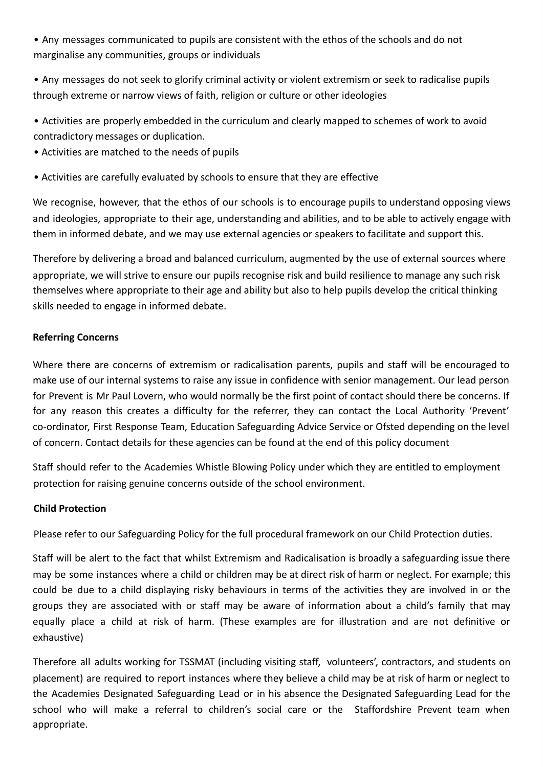• Any messages communicated to pupils are consistent with the ethos of the schools and do not marginalise any communities, groups or individuals

• Any messages do not seek to glorify criminal activity or violent extremism or seek to radicalise pupils through extreme or narrow views of faith, religion or culture or other ideologies

- Activities are properly embedded in the curriculum and clearly mapped to schemes of work to avoid contradictory messages or duplication.
- Activities are matched to the needs of pupils
- Activities are carefully evaluated by schools to ensure that they are effective

We recognise, however, that the ethos of our schools is to encourage pupils to understand opposing views and ideologies, appropriate to their age, understanding and abilities, and to be able to actively engage with them in informed debate, and we may use external agencies or speakers to facilitate and support this.

Therefore by delivering a broad and balanced curriculum, augmented by the use of external sources where appropriate, we will strive to ensure our pupils recognise risk and build resilience to manage any such risk themselves where appropriate to their age and ability but also to help pupils develop the critical thinking skills needed to engage in informed debate.

# **Referring Concerns**

Where there are concerns of extremism or radicalisation parents, pupils and staff will be encouraged to make use of our internal systems to raise any issue in confidence with senior management. Our lead person for Prevent is Mr Paul Lovern, who would normally be the first point of contact should there be concerns. If for any reason this creates a difficulty for the referrer, they can contact the Local Authority 'Prevent' co-ordinator, First Response Team, Education Safeguarding Advice Service or Ofsted depending on the level of concern. Contact details for these agencies can be found at the end of this policy document

Staff should refer to the Academies Whistle Blowing Policy under which they are entitled to employment protection for raising genuine concerns outside of the school environment.

# **Child Protection**

Please refer to our Safeguarding Policy for the full procedural framework on our Child Protection duties.

Staff will be alert to the fact that whilst Extremism and Radicalisation is broadly a safeguarding issue there may be some instances where a child or children may be at direct risk of harm or neglect. For example; this could be due to a child displaying risky behaviours in terms of the activities they are involved in or the groups they are associated with or staff may be aware of information about a child's family that may equally place a child at risk of harm. (These examples are for illustration and are not definitive or exhaustive)

Therefore all adults working for TSSMAT (including visiting staff, volunteers', contractors, and students on placement) are required to report instances where they believe a child may be at risk of harm or neglect to the Academies Designated Safeguarding Lead or in his absence the Designated Safeguarding Lead for the school who will make a referral to children's social care or the Staffordshire Prevent team when appropriate.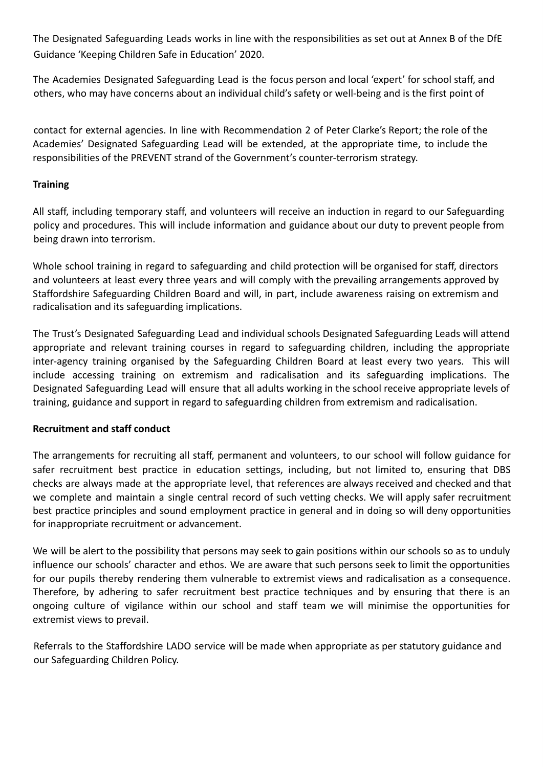The Designated Safeguarding Leads works in line with the responsibilities as set out at Annex B of the DfE Guidance 'Keeping Children Safe in Education' 2020.

The Academies Designated Safeguarding Lead is the focus person and local 'expert' for school staff, and others, who may have concerns about an individual child's safety or well-being and is the first point of

contact for external agencies. In line with Recommendation 2 of Peter Clarke's Report; the role of the Academies' Designated Safeguarding Lead will be extended, at the appropriate time, to include the responsibilities of the PREVENT strand of the Government's counter-terrorism strategy.

# **Training**

All staff, including temporary staff, and volunteers will receive an induction in regard to our Safeguarding policy and procedures. This will include information and guidance about our duty to prevent people from being drawn into terrorism.

Whole school training in regard to safeguarding and child protection will be organised for staff, directors and volunteers at least every three years and will comply with the prevailing arrangements approved by Staffordshire Safeguarding Children Board and will, in part, include awareness raising on extremism and radicalisation and its safeguarding implications.

The Trust's Designated Safeguarding Lead and individual schools Designated Safeguarding Leads will attend appropriate and relevant training courses in regard to safeguarding children, including the appropriate inter-agency training organised by the Safeguarding Children Board at least every two years. This will include accessing training on extremism and radicalisation and its safeguarding implications. The Designated Safeguarding Lead will ensure that all adults working in the school receive appropriate levels of training, guidance and support in regard to safeguarding children from extremism and radicalisation.

# **Recruitment and staff conduct**

The arrangements for recruiting all staff, permanent and volunteers, to our school will follow guidance for safer recruitment best practice in education settings, including, but not limited to, ensuring that DBS checks are always made at the appropriate level, that references are always received and checked and that we complete and maintain a single central record of such vetting checks. We will apply safer recruitment best practice principles and sound employment practice in general and in doing so will deny opportunities for inappropriate recruitment or advancement.

We will be alert to the possibility that persons may seek to gain positions within our schools so as to unduly influence our schools' character and ethos. We are aware that such persons seek to limit the opportunities for our pupils thereby rendering them vulnerable to extremist views and radicalisation as a consequence. Therefore, by adhering to safer recruitment best practice techniques and by ensuring that there is an ongoing culture of vigilance within our school and staff team we will minimise the opportunities for extremist views to prevail.

Referrals to the Staffordshire LADO service will be made when appropriate as per statutory guidance and our Safeguarding Children Policy.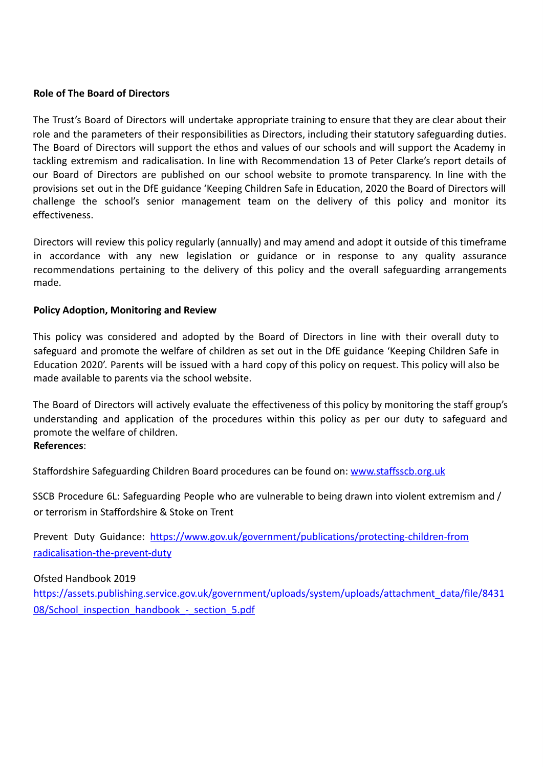# **Role of The Board of Directors**

The Trust's Board of Directors will undertake appropriate training to ensure that they are clear about their role and the parameters of their responsibilities as Directors, including their statutory safeguarding duties. The Board of Directors will support the ethos and values of our schools and will support the Academy in tackling extremism and radicalisation. In line with Recommendation 13 of Peter Clarke's report details of our Board of Directors are published on our school website to promote transparency. In line with the provisions set out in the DfE guidance 'Keeping Children Safe in Education, 2020 the Board of Directors will challenge the school's senior management team on the delivery of this policy and monitor its effectiveness.

Directors will review this policy regularly (annually) and may amend and adopt it outside of this timeframe in accordance with any new legislation or guidance or in response to any quality assurance recommendations pertaining to the delivery of this policy and the overall safeguarding arrangements made.

# **Policy Adoption, Monitoring and Review**

This policy was considered and adopted by the Board of Directors in line with their overall duty to safeguard and promote the welfare of children as set out in the DfE guidance 'Keeping Children Safe in Education 2020'. Parents will be issued with a hard copy of this policy on request. This policy will also be made available to parents via the school website.

The Board of Directors will actively evaluate the effectiveness of this policy by monitoring the staff group's understanding and application of the procedures within this policy as per our duty to safeguard and promote the welfare of children. **References** :

Staffordshire Safeguarding Children Board procedures can be found on: www.staffsscb.org.uk

SSCB Procedure 6L: Safeguarding People who are vulnerable to being drawn into violent extremism and / or terrorism in Staffordshire & Stoke on Trent

Prevent Duty Guidance: https://www.gov.uk/government/publications/protecting-children-from radicalisation-the-prevent-duty

Ofsted Handbook 2019

https://assets.publishing.service.gov.uk/government/uploads/system/uploads/attachment\_data/file/8431 08/School\_inspection\_handbook -\_section\_5.pdf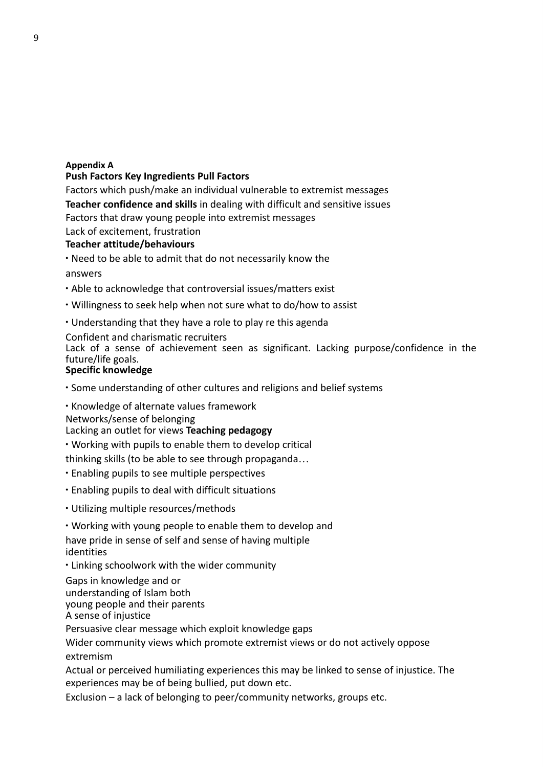#### **Appendix A**

# **Push Factors Key Ingredients Pull Factors**

Factors which push/make an individual vulnerable to extremist messages **Teacher confidence and skills** in dealing with difficult and sensitive issues Factors that draw young people into extremist messages Lack of excitement, frustration

# **Teacher attitude/behaviours**

∙ Need to be able to admit that do not necessarily know the

answers

- ∙ Able to acknowledge that controversial issues/matters exist
- ∙ Willingness to seek help when not sure what to do/how to assist
- ∙ Understanding that they have a role to play re this agenda

# Confident and charismatic recruiters

Lack of a sense of achievement seen as significant. Lacking purpose/confidence in the future/life goals.

# **Specific knowledge**

- ∙ Some understanding of other cultures and religions and belief systems
- ∙ Knowledge of alternate values framework

Networks/sense of belonging

# Lacking an outlet for views **Teaching pedagogy**

- ∙ Working with pupils to enable them to develop critical
- thinking skills (to be able to see through propaganda…
- ∙ Enabling pupils to see multiple perspectives
- ∙ Enabling pupils to deal with difficult situations
- ∙ Utilizing multiple resources/methods
- ∙ Working with young people to enable them to develop and

have pride in sense of self and sense of having multiple identities

∙ Linking schoolwork with the wider community

Gaps in knowledge and or understanding of Islam both young people and their parents A sense of injustice

Persuasive clear message which exploit knowledge gaps

Wider community views which promote extremist views or do not actively oppose extremism

Actual or perceived humiliating experiences this may be linked to sense of injustice. The experiences may be of being bullied, put down etc.

Exclusion – a lack of belonging to peer/community networks, groups etc.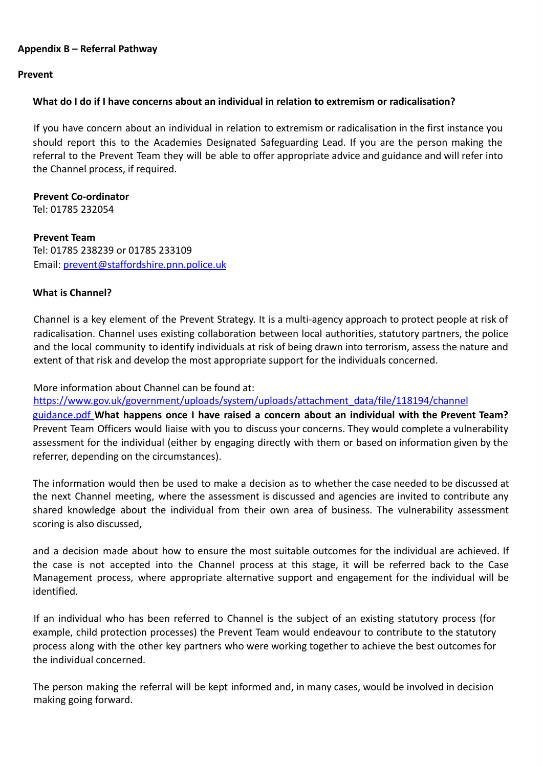# **Appendix B – Referral Pathway**

#### **Prevent**

# **What do I do if I have concerns about an individual in relation to extremism or radicalisation?**

If you have concern about an individual in relation to extremism or radicalisation in the first instance you should report this to the Academies Designated Safeguarding Lead. If you are the person making the referral to the Prevent Team they will be able to offer appropriate advice and guidance and will refer into the Channel process, if required.

**Prevent Co-ordinator**  Tel: 01785 232054

**Prevent Team**  Tel: 01785 238239 or 01785 233109 Email: prevent@staffordshire.pnn.police.uk

# **What is Channel?**

Channel is a key element of the Prevent Strategy. It is a multi-agency approach to protect people at risk of radicalisation. Channel uses existing collaboration between local authorities, statutory partners, the police and the local community to identify individuals at risk of being drawn into terrorism, assess the nature and extent of that risk and develop the most appropriate support for the individuals concerned.

More information about Channel can be found at:

https://www.gov.uk/government/uploads/system/uploads/attachment\_data/file/118194/channel

guidance.pdf **What happens once I have raised a concern about an individual with the Prevent Team?**  Prevent Team Officers would liaise with you to discuss your concerns. They would complete a vulnerability assessment for the individual (either by engaging directly with them or based on information given by the referrer, depending on the circumstances).

The information would then be used to make a decision as to whether the case needed to be discussed at the next Channel meeting, where the assessment is discussed and agencies are invited to contribute any shared knowledge about the individual from their own area of business. The vulnerability assessment scoring is also discussed,

and a decision made about how to ensure the most suitable outcomes for the individual are achieved. If the case is not accepted into the Channel process at this stage, it will be referred back to the Case Management process, where appropriate alternative support and engagement for the individual will be identified.

If an individual who has been referred to Channel is the subject of an existing statutory process (for example, child protection processes) the Prevent Team would endeavour to contribute to the statutory process along with the other key partners who were working together to achieve the best outcomes for the individual concerned.

The person making the referral will be kept informed and, in many cases, would be involved in decision making going forward.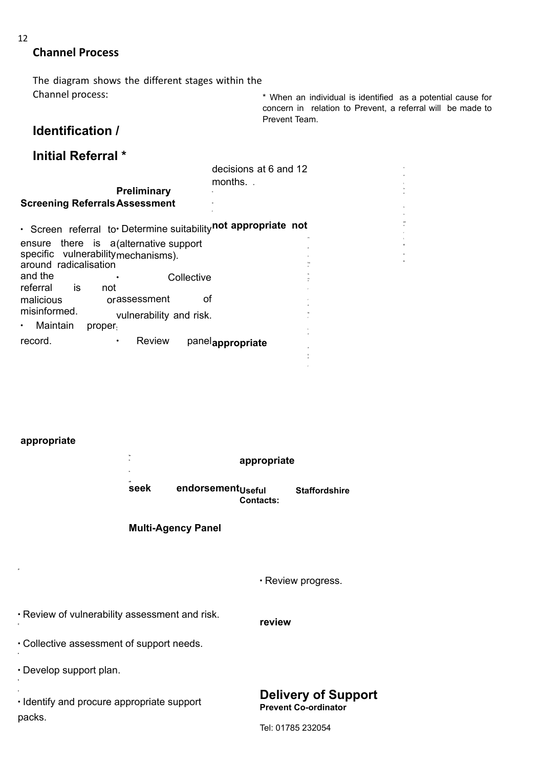# **Channel Process**

The diagram shows the different stages within the Channel process:

\* When an individual is identified as a potential cause for concern in relation to Prevent, a referral will be made to Prevent Team.

# **Identification /**

# **Initial Referral \***

|                                                               | decisions at 6 and 12<br>months |  |  |  |  |  |
|---------------------------------------------------------------|---------------------------------|--|--|--|--|--|
| <b>Preliminary</b>                                            |                                 |  |  |  |  |  |
| <b>Screening Referrals Assessment</b>                         |                                 |  |  |  |  |  |
| · Screen referral to Determine suitabilitynot appropriate not |                                 |  |  |  |  |  |
| ensure there is a (alternative support                        |                                 |  |  |  |  |  |
| specific vulnerabilitymechanisms).                            |                                 |  |  |  |  |  |
| around radicalisation                                         |                                 |  |  |  |  |  |
| and the<br>Collective<br>referral<br>is<br>not                |                                 |  |  |  |  |  |
| orassessment<br>malicious                                     | οf                              |  |  |  |  |  |
| misinformed.                                                  |                                 |  |  |  |  |  |
| vulnerability and risk.                                       |                                 |  |  |  |  |  |
| Maintain<br>proper <sub>1</sub>                               |                                 |  |  |  |  |  |
| <b>Review</b><br>record.<br>٠                                 | panelappropriate                |  |  |  |  |  |
|                                                               |                                 |  |  |  |  |  |

# **appropriate**

|                                                      |                               | appropriate |                                                           |  |
|------------------------------------------------------|-------------------------------|-------------|-----------------------------------------------------------|--|
| seek                                                 | endorsement <sub>Useful</sub> | Contacts:   | <b>Staffordshire</b>                                      |  |
|                                                      | <b>Multi-Agency Panel</b>     |             |                                                           |  |
|                                                      |                               |             |                                                           |  |
|                                                      |                               |             | · Review progress.                                        |  |
| . Review of vulnerability assessment and risk.       |                               | review      |                                                           |  |
| . Collective assessment of support needs.            |                               |             |                                                           |  |
| . Develop support plan.                              |                               |             |                                                           |  |
| . Identify and procure appropriate support<br>packs. |                               |             | <b>Delivery of Support</b><br><b>Prevent Co-ordinator</b> |  |

Tel: 01785 232054

12